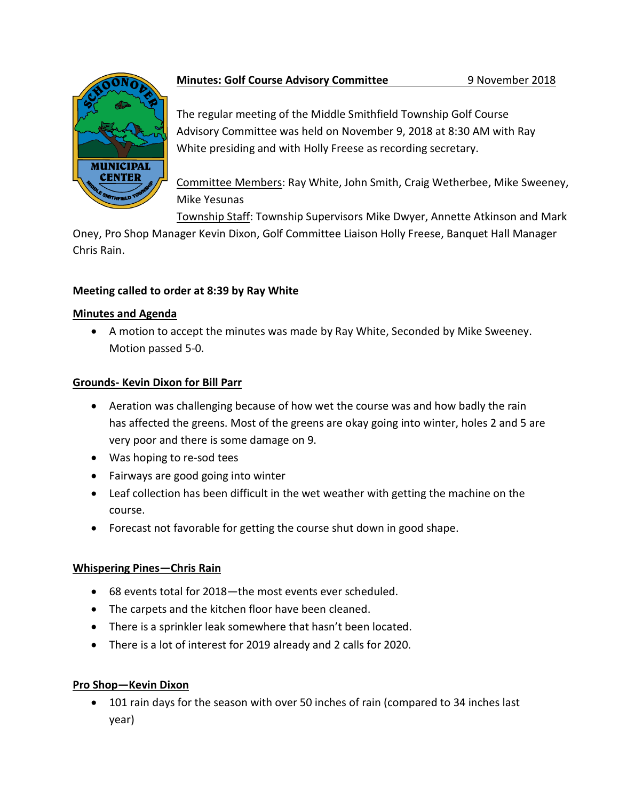

# **Minutes: Golf Course Advisory Committee** 9 November 2018

The regular meeting of the Middle Smithfield Township Golf Course Advisory Committee was held on November 9, 2018 at 8:30 AM with Ray White presiding and with Holly Freese as recording secretary.

Committee Members: Ray White, John Smith, Craig Wetherbee, Mike Sweeney, Mike Yesunas

Township Staff: Township Supervisors Mike Dwyer, Annette Atkinson and Mark

Oney, Pro Shop Manager Kevin Dixon, Golf Committee Liaison Holly Freese, Banquet Hall Manager Chris Rain.

## **Meeting called to order at 8:39 by Ray White**

## **Minutes and Agenda**

 A motion to accept the minutes was made by Ray White, Seconded by Mike Sweeney. Motion passed 5-0.

# **Grounds- Kevin Dixon for Bill Parr**

- Aeration was challenging because of how wet the course was and how badly the rain has affected the greens. Most of the greens are okay going into winter, holes 2 and 5 are very poor and there is some damage on 9.
- Was hoping to re-sod tees
- Fairways are good going into winter
- Leaf collection has been difficult in the wet weather with getting the machine on the course.
- Forecast not favorable for getting the course shut down in good shape.

# **Whispering Pines—Chris Rain**

- 68 events total for 2018—the most events ever scheduled.
- The carpets and the kitchen floor have been cleaned.
- There is a sprinkler leak somewhere that hasn't been located.
- There is a lot of interest for 2019 already and 2 calls for 2020.

# **Pro Shop—Kevin Dixon**

 101 rain days for the season with over 50 inches of rain (compared to 34 inches last year)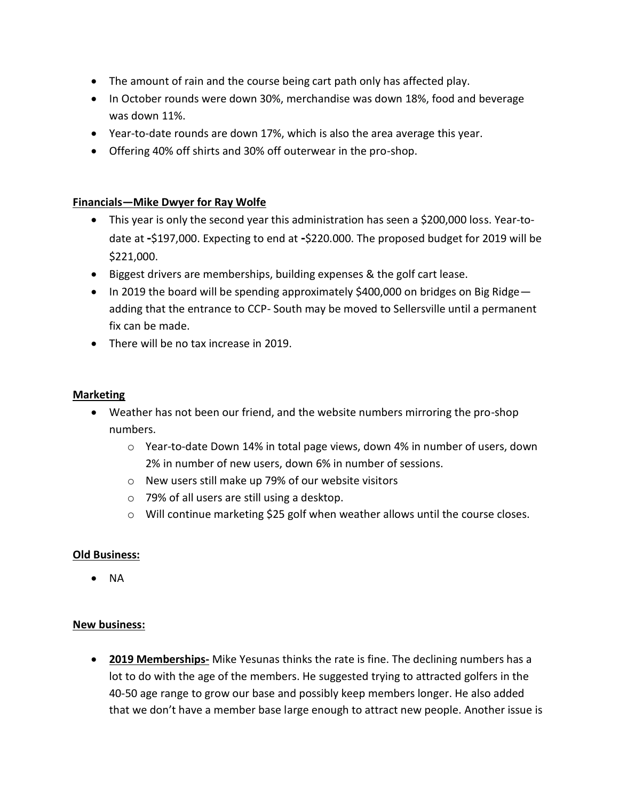- The amount of rain and the course being cart path only has affected play.
- In October rounds were down 30%, merchandise was down 18%, food and beverage was down 11%.
- Year-to-date rounds are down 17%, which is also the area average this year.
- Offering 40% off shirts and 30% off outerwear in the pro-shop.

### **Financials—Mike Dwyer for Ray Wolfe**

- This year is only the second year this administration has seen a \$200,000 loss. Year-todate at **-**\$197,000. Expecting to end at **-**\$220.000. The proposed budget for 2019 will be \$221,000.
- Biggest drivers are memberships, building expenses & the golf cart lease.
- $\bullet$  In 2019 the board will be spending approximately \$400,000 on bridges on Big Ridge adding that the entrance to CCP- South may be moved to Sellersville until a permanent fix can be made.
- There will be no tax increase in 2019.

### **Marketing**

- Weather has not been our friend, and the website numbers mirroring the pro-shop numbers.
	- o Year-to-date Down 14% in total page views, down 4% in number of users, down 2% in number of new users, down 6% in number of sessions.
	- o New users still make up 79% of our website visitors
	- o 79% of all users are still using a desktop.
	- o Will continue marketing \$25 golf when weather allows until the course closes.

### **Old Business:**

 $\bullet$  NA

### **New business:**

 **2019 Memberships-** Mike Yesunas thinks the rate is fine. The declining numbers has a lot to do with the age of the members. He suggested trying to attracted golfers in the 40-50 age range to grow our base and possibly keep members longer. He also added that we don't have a member base large enough to attract new people. Another issue is